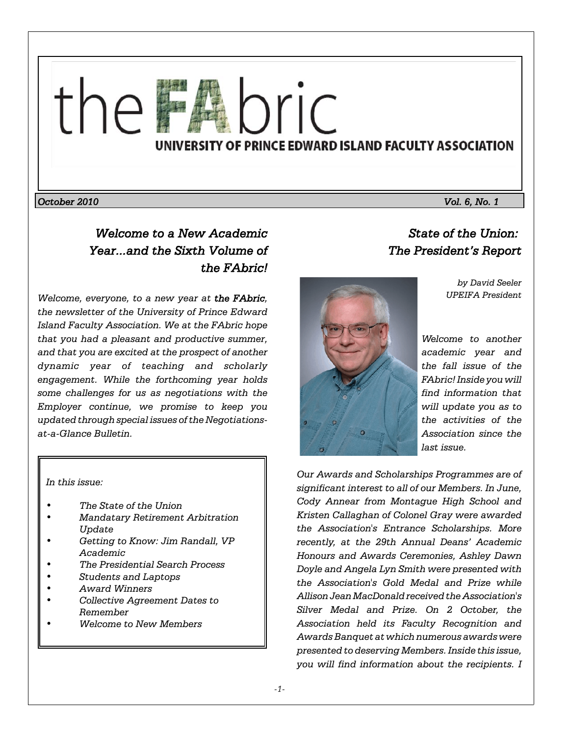

*October 2010 Vol. 6, No. 1*

# *Welcome to a New Academic Year...and the Sixth Volume of the FAbric!*

*Welcome, everyone, to a new year at the FAbric, the newsletter of the University of Prince Edward Island Faculty Association. We at the FAbric hope that you had a pleasant and productive summer, and that you are excited at the prospect of another dynamic year of teaching and scholarly engagement. While the forthcoming year holds some challenges for us as negotiations with the Employer continue, we promise to keep you updated through special issues of the Negotiationsat-a-Glance Bulletin.*

*In this issue:* 

- *The State of the Union*
- *Mandatary Retirement Arbitration Update*
- *Getting to Know: Jim Randall, VP Academic*
- *The Presidential Search Process*
- *Students and Laptops*
- *Award Winners*
- *Collective Agreement Dates to Remember*
- *Welcome to New Members*

# *State of the Union: The President's Report*

*by David Seeler UPEIFA President*



*Welcome to another academic year and the fall issue of the FAbric! Inside you will find information that will update you as to the activities of the Association since the last issue.*

*Our Awards and Scholarships Programmes are of significant interest to all of our Members. In June, Cody Annear from Montague High School and Kristen Callaghan of Colonel Gray were awarded the Association's Entrance Scholarships. More recently, at the 29th Annual Deans' Academic Honours and Awards Ceremonies, Ashley Dawn Doyle and Angela Lyn Smith were presented with the Association's Gold Medal and Prize while Allison Jean MacDonald received the Association's Silver Medal and Prize. On 2 October, the Association held its Faculty Recognition and Awards Banquet at which numerous awards were presented to deserving Members. Inside this issue, you will find information about the recipients. I*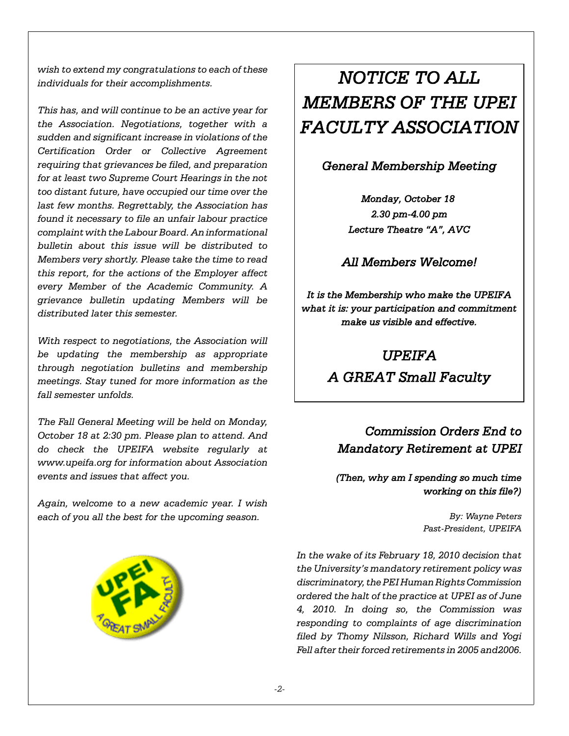*wish to extend my congratulations to each of these individuals for their accomplishments.*

*This has, and will continue to be an active year for the Association. Negotiations, together with a sudden and significant increase in violations of the Certification Order or Collective Agreement requiring that grievances be filed, and preparation for at least two Supreme Court Hearings in the not too distant future, have occupied our time over the last few months. Regrettably, the Association has found it necessary to file an unfair labour practice complaint with the Labour Board. An informational bulletin about this issue will be distributed to Members very shortly. Please take the time to read this report, for the actions of the Employer affect every Member of the Academic Community. A grievance bulletin updating Members will be distributed later this semester.*

*With respect to negotiations, the Association will be updating the membership as appropriate through negotiation bulletins and membership meetings. Stay tuned for more information as the fall semester unfolds.*

*The Fall General Meeting will be held on Monday, October 18 at 2:30 pm. Please plan to attend. And do check the UPEIFA website regularly at www.upeifa.org for information about Association events and issues that affect you.* 

*Again, welcome to a new academic year. I wish each of you all the best for the upcoming season.*



# *NOTICE TO ALL MEMBERS OF THE UPEI FACULTY ASSOCIATION*

### *General Membership Meeting*

*Monday, October 18 2.30 pm-4.00 pm Lecture Theatre "A", AVC*

*All Members Welcome!*

*It is the Membership who make the UPEIFA what it is: your participation and commitment make us visible and effective.*

# *UPEIFA*

*A GREAT Small Faculty*

# *Commission Orders End to Mandatory Retirement at UPEI*

### *(Then, why am I spending so much time working on this file?)*

*By: Wayne Peters Past-President, UPEIFA*

*In the wake of its February 18, 2010 decision that the University's mandatory retirement policy was discriminatory, the PEI Human Rights Commission ordered the halt of the practice at UPEI as of June 4, 2010. In doing so, the Commission was responding to complaints of age discrimination filed by Thomy Nilsson, Richard Wills and Yogi Fell after their forced retirements in 2005 and2006.*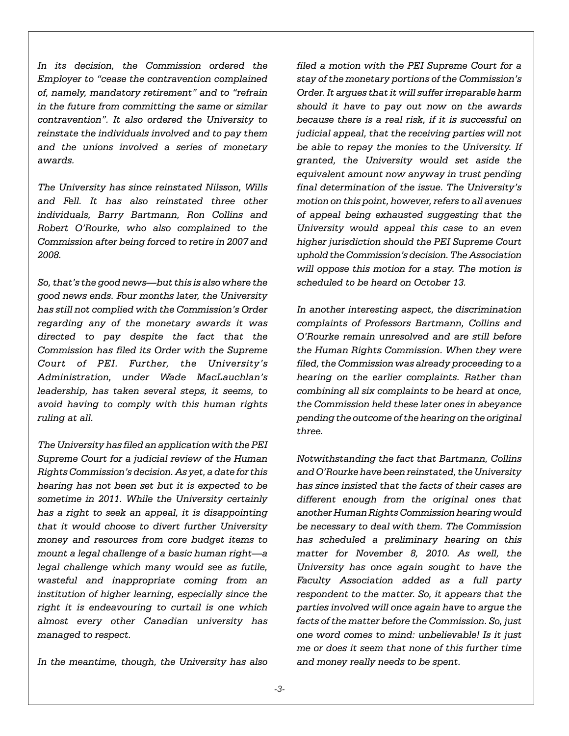*In its decision, the Commission ordered the Employer to "cease the contravention complained of, namely, mandatory retirement" and to "refrain in the future from committing the same or similar contravention". It also ordered the University to reinstate the individuals involved and to pay them and the unions involved a series of monetary awards.*

*The University has since reinstated Nilsson, Wills and Fell. It has also reinstated three other individuals, Barry Bartmann, Ron Collins and Robert O'Rourke, who also complained to the Commission after being forced to retire in 2007 and 2008.*

*So, that's the good news—but this is also where the good news ends. Four months later, the University has still not complied with the Commission's Order regarding any of the monetary awards it was directed to pay despite the fact that the Commission has filed its Order with the Supreme Court of PEI. Further, the University's Administration, under Wade MacLauchlan's leadership, has taken several steps, it seems, to avoid having to comply with this human rights ruling at all.*

*The University has filed an application with the PEI Supreme Court for a judicial review of the Human Rights Commission's decision. As yet, a date for this hearing has not been set but it is expected to be sometime in 2011. While the University certainly has a right to seek an appeal, it is disappointing that it would choose to divert further University money and resources from core budget items to mount a legal challenge of a basic human right—a legal challenge which many would see as futile, wasteful and inappropriate coming from an institution of higher learning, especially since the right it is endeavouring to curtail is one which almost every other Canadian university has managed to respect.*

*In the meantime, though, the University has also*

*filed a motion with the PEI Supreme Court for a stay of the monetary portions of the Commission's Order. It argues that it will suffer irreparable harm should it have to pay out now on the awards because there is a real risk, if it is successful on judicial appeal, that the receiving parties will not be able to repay the monies to the University. If granted, the University would set aside the equivalent amount now anyway in trust pending final determination of the issue. The University's motion on this point, however, refers to all avenues of appeal being exhausted suggesting that the University would appeal this case to an even higher jurisdiction should the PEI Supreme Court uphold the Commission's decision. The Association will oppose this motion for a stay. The motion is scheduled to be heard on October 13.*

*In another interesting aspect, the discrimination complaints of Professors Bartmann, Collins and O'Rourke remain unresolved and are still before the Human Rights Commission. When they were filed, the Commission was already proceeding to a hearing on the earlier complaints. Rather than combining all six complaints to be heard at once, the Commission held these later ones in abeyance pending the outcome of the hearing on the original three.*

*Notwithstanding the fact that Bartmann, Collins and O'Rourke have been reinstated, the University has since insisted that the facts of their cases are different enough from the original ones that another Human Rights Commission hearing would be necessary to deal with them. The Commission has scheduled a preliminary hearing on this matter for November 8, 2010. As well, the University has once again sought to have the Faculty Association added as a full party respondent to the matter. So, it appears that the parties involved will once again have to argue the facts of the matter before the Commission. So, just one word comes to mind: unbelievable! Is it just me or does it seem that none of this further time and money really needs to be spent.*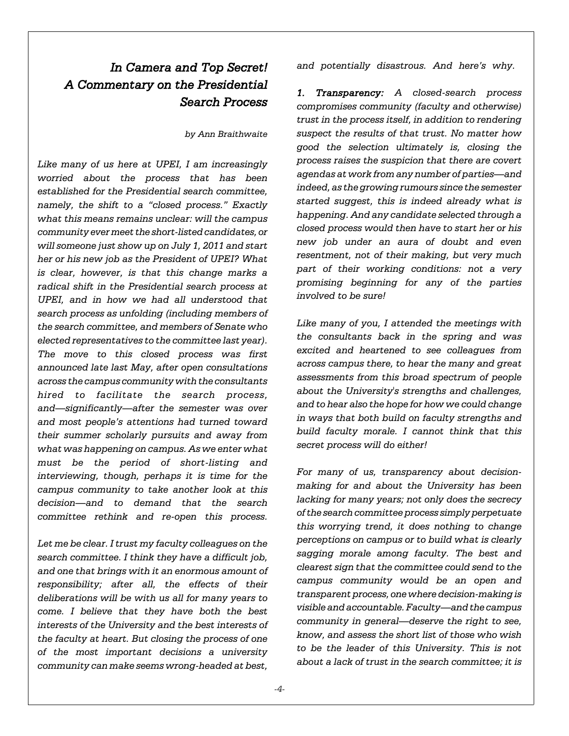# *In Camera and Top Secret! A Commentary on the Presidential Search Process*

*by Ann Braithwaite*

*Like many of us here at UPEI, I am increasingly worried about the process that has been established for the Presidential search committee, namely, the shift to a "closed process." Exactly what this means remains unclear: will the campus community ever meet the short-listed candidates, or will someone just show up on July 1, 2011 and start her or his new job as the President of UPEI? What is clear, however, is that this change marks a radical shift in the Presidential search process at UPEI, and in how we had all understood that search process as unfolding (including members of the search committee, and members of Senate who elected representatives to the committee last year). The move to this closed process was first announced late last May, after open consultations across the campus community with the consultants hired to facilitate the search process, and—significantly—after the semester was over and most people's attentions had turned toward their summer scholarly pursuits and away from what was happening on campus. As we enter what must be the period of short-listing and interviewing, though, perhaps it is time for the campus community to take another look at this decision—and to demand that the search committee rethink and re-open this process.*

*Let me be clear. I trust my faculty colleagues on the search committee. I think they have a difficult job, and one that brings with it an enormous amount of responsibility; after all, the effects of their deliberations will be with us all for many years to come. I believe that they have both the best interests of the University and the best interests of the faculty at heart. But closing the process of one of the most important decisions a university community can make seems wrong-headed at best,* *and potentially disastrous. And here's why.* 

*1. Transparency: A closed-search process compromises community (faculty and otherwise) trust in the process itself, in addition to rendering suspect the results of that trust. No matter how good the selection ultimately is, closing the process raises the suspicion that there are covert agendas at work from any number of parties—and indeed, as the growing rumours since the semester started suggest, this is indeed already what is happening. And any candidate selected through a closed process would then have to start her or his new job under an aura of doubt and even resentment, not of their making, but very much part of their working conditions: not a very promising beginning for any of the parties involved to be sure!* 

*Like many of you, I attended the meetings with the consultants back in the spring and was excited and heartened to see colleagues from across campus there, to hear the many and great assessments from this broad spectrum of people about the University's strengths and challenges, and to hear also the hope for how we could change in ways that both build on faculty strengths and build faculty morale. I cannot think that this secret process will do either!* 

*For many of us, transparency about decisionmaking for and about the University has been lacking for many years; not only does the secrecy of the search committee process simply perpetuate this worrying trend, it does nothing to change perceptions on campus or to build what is clearly sagging morale among faculty. The best and clearest sign that the committee could send to the campus community would be an open and transparent process, one where decision-making is visible and accountable. Faculty—and the campus community in general—deserve the right to see, know, and assess the short list of those who wish to be the leader of this University. This is not about a lack of trust in the search committee; it is*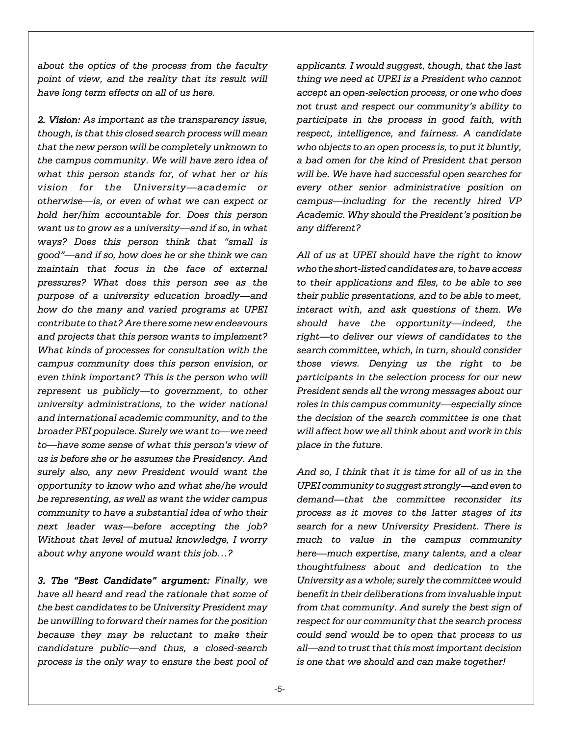*about the optics of the process from the faculty point of view, and the reality that its result will have long term effects on all of us here.*

*2. Vision: As important as the transparency issue, though, is that this closed search process will mean that the new person will be completely unknown to the campus community. We will have zero idea of what this person stands for, of what her or his vision for the University—academic or otherwise—is, or even of what we can expect or hold her/him accountable for. Does this person want us to grow as a university—and if so, in what ways? Does this person think that "small is good"—and if so, how does he or she think we can maintain that focus in the face of external pressures? What does this person see as the purpose of a university education broadly—and how do the many and varied programs at UPEI contribute to that? Are there some new endeavours and projects that this person wants to implement? What kinds of processes for consultation with the campus community does this person envision, or even think important? This is the person who will represent us publicly—to government, to other university administrations, to the wider national and international academic community, and to the broader PEI populace. Surely we want to—we need to—have some sense of what this person's view of us is before she or he assumes the Presidency. And surely also, any new President would want the opportunity to know who and what she/he would be representing, as well as want the wider campus community to have a substantial idea of who their next leader was—before accepting the job? Without that level of mutual knowledge, I worry about why anyone would want this job…?* 

*3. The "Best Candidate" argument: Finally, we have all heard and read the rationale that some of the best candidates to be University President may be unwilling to forward their names for the position because they may be reluctant to make their candidature public—and thus, a closed-search process is the only way to ensure the best pool of*

*applicants. I would suggest, though, that the last thing we need at UPEI is a President who cannot accept an open-selection process, or one who does not trust and respect our community's ability to participate in the process in good faith, with respect, intelligence, and fairness. A candidate who objects to an open process is, to put it bluntly, a bad omen for the kind of President that person will be. We have had successful open searches for every other senior administrative position on campus—including for the recently hired VP Academic. Why should the President's position be any different?*

*All of us at UPEI should have the right to know who the short-listed candidates are, to have access to their applications and files, to be able to see their public presentations, and to be able to meet, interact with, and ask questions of them. We should have the opportunity—indeed, the right—to deliver our views of candidates to the search committee, which, in turn, should consider those views. Denying us the right to be participants in the selection process for our new President sends all the wrong messages about our roles in this campus community—especially since the decision of the search committee is one that will affect how we all think about and work in this place in the future.* 

*And so, I think that it is time for all of us in the UPEI community to suggest strongly—and even to demand—that the committee reconsider its process as it moves to the latter stages of its search for a new University President. There is much to value in the campus community here—much expertise, many talents, and a clear thoughtfulness about and dedication to the University as a whole; surely the committee would benefit in their deliberations from invaluable input from that community. And surely the best sign of respect for our community that the search process could send would be to open that process to us all—and to trust that this most important decision is one that we should and can make together!*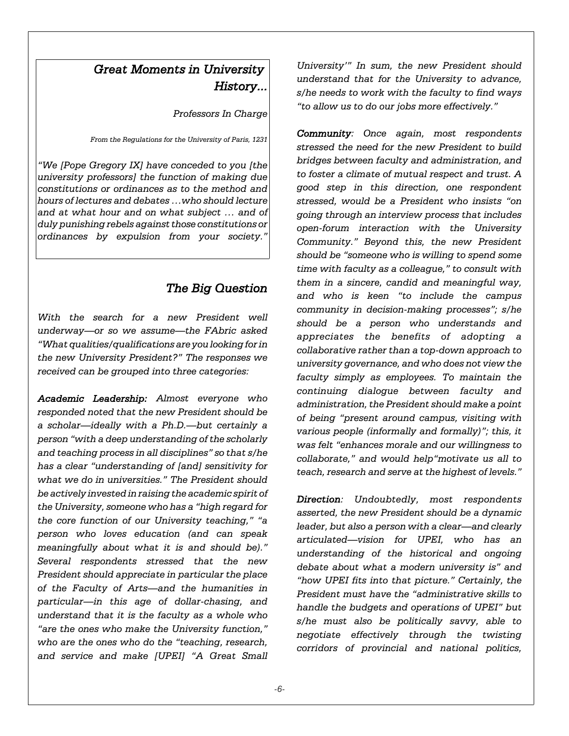## *Great Moments in University History...*

*Professors In Charge*

*From the Regulations for the University of Paris, 1231*

*"We [Pope Gregory IX] have conceded to you [the university professors] the function of making due constitutions or ordinances as to the method and hours of lectures and debates …who should lecture and at what hour and on what subject … and of duly punishing rebels against those constitutions or ordinances by expulsion from your society."*

### *The Big Question*

*With the search for a new President well underway—or so we assume—the FAbric asked "What qualities/qualifications are you looking for in the new University President?" The responses we received can be grouped into three categories:*

*Academic Leadership: Almost everyone who responded noted that the new President should be a scholar—ideally with a Ph.D.—but certainly a person "with a deep understanding of the scholarly and teaching process in all disciplines" so that s/he has a clear "understanding of [and] sensitivity for what we do in universities." The President should be actively invested in raising the academic spirit of the University, someone who has a "high regard for the core function of our University teaching," "a person who loves education (and can speak meaningfully about what it is and should be)." Several respondents stressed that the new President should appreciate in particular the place of the Faculty of Arts—and the humanities in particular—in this age of dollar-chasing, and understand that it is the faculty as a whole who "are the ones who make the University function," who are the ones who do the "teaching, research, and service and make [UPEI] "A Great Small*

*University'" In sum, the new President should understand that for the University to advance, s/he needs to work with the faculty to find ways "to allow us to do our jobs more effectively."*

*Community: Once again, most respondents stressed the need for the new President to build bridges between faculty and administration, and to foster a climate of mutual respect and trust. A good step in this direction, one respondent stressed, would be a President who insists "on going through an interview process that includes open-forum interaction with the University Community." Beyond this, the new President should be "someone who is willing to spend some time with faculty as a colleague," to consult with them in a sincere, candid and meaningful way, and who is keen "to include the campus community in decision-making processes"; s/he should be a person who understands and appreciates the benefits of adopting a collaborative rather than a top-down approach to university governance, and who does not view the faculty simply as employees. To maintain the continuing dialogue between faculty and administration, the President should make a point of being "present around campus, visiting with various people (informally and formally)"; this, it was felt "enhances morale and our willingness to collaborate," and would help"motivate us all to teach, research and serve at the highest of levels."*

*Direction: Undoubtedly, most respondents asserted, the new President should be a dynamic leader, but also a person with a clear—and clearly articulated—vision for UPEI, who has an understanding of the historical and ongoing debate about what a modern university is" and "how UPEI fits into that picture." Certainly, the President must have the "administrative skills to handle the budgets and operations of UPEI" but s/he must also be politically savvy, able to negotiate effectively through the twisting corridors of provincial and national politics,*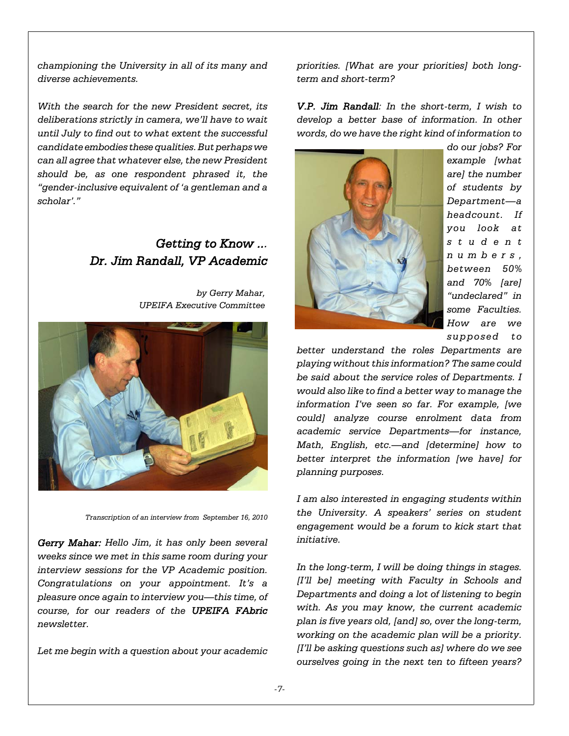*championing the University in all of its many and diverse achievements.* 

*With the search for the new President secret, its deliberations strictly in camera, we'll have to wait until July to find out to what extent the successful candidate embodies these qualities. But perhaps we can all agree that whatever else, the new President should be, as one respondent phrased it, the "gender-inclusive equivalent of 'a gentleman and a scholar'."*

### *Getting to Know ... Dr. Jim Randall, VP Academic*

*by Gerry Mahar, UPEIFA Executive Committee* 



*Transcription of an interview from September 16, 2010*

*Gerry Mahar: Hello Jim, it has only been several weeks since we met in this same room during your interview sessions for the VP Academic position. Congratulations on your appointment. It's a pleasure once again to interview you—this time, of course, for our readers of the UPEIFA FAbric newsletter.*

*Let me begin with a question about your academic*

*priorities. [What are your priorities] both longterm and short-term?*

*V.P. Jim Randall: In the short-term, I wish to develop a better base of information. In other words, do we have the right kind of information to*



*example [what are] the number of students by Department—a headcount. If you look at student numbers, between 50% and 70% [are] "undeclared" in some Faculties. How are we supposed to*

*do our jobs? For*

*better understand the roles Departments are playing without this information? The same could be said about the service roles of Departments. I would also like to find a better way to manage the information I've seen so far. For example, [we could] analyze course enrolment data from academic service Departments—for instance, Math, English, etc.—and [determine] how to better interpret the information [we have] for planning purposes.*

*I am also interested in engaging students within the University. A speakers' series on student engagement would be a forum to kick start that initiative.*

*In the long-term, I will be doing things in stages. [I'll be] meeting with Faculty in Schools and Departments and doing a lot of listening to begin with. As you may know, the current academic plan is five years old, [and] so, over the long-term, working on the academic plan will be a priority. [I'll be asking questions such as] where do we see ourselves going in the next ten to fifteen years?*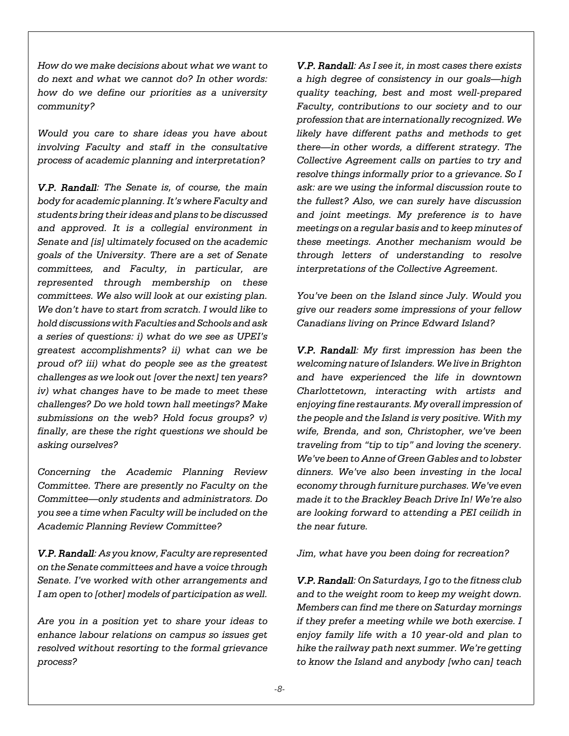*How do we make decisions about what we want to do next and what we cannot do? In other words: how do we define our priorities as a university community?*

*Would you care to share ideas you have about involving Faculty and staff in the consultative process of academic planning and interpretation?*

*V.P. Randall: The Senate is, of course, the main body for academic planning. It's where Faculty and students bring their ideas and plans to be discussed and approved. It is a collegial environment in Senate and [is] ultimately focused on the academic goals of the University. There are a set of Senate committees, and Faculty, in particular, are represented through membership on these committees. We also will look at our existing plan. We don't have to start from scratch. I would like to hold discussions with Faculties and Schools and ask a series of questions: i) what do we see as UPEI's greatest accomplishments? ii) what can we be proud of? iii) what do people see as the greatest challenges as we look out [over the next] ten years? iv) what changes have to be made to meet these challenges? Do we hold town hall meetings? Make submissions on the web? Hold focus groups? v) finally, are these the right questions we should be asking ourselves?*

*Concerning the Academic Planning Review Committee. There are presently no Faculty on the Committee—only students and administrators. Do you see a time when Faculty will be included on the Academic Planning Review Committee?*

*V.P. Randall: As you know, Faculty are represented on the Senate committees and have a voice through Senate. I've worked with other arrangements and I am open to [other] models of participation as well.*

*Are you in a position yet to share your ideas to enhance labour relations on campus so issues get resolved without resorting to the formal grievance process?*

*V.P. Randall: As I see it, in most cases there exists a high degree of consistency in our goals—high quality teaching, best and most well-prepared Faculty, contributions to our society and to our profession that are internationally recognized. We likely have different paths and methods to get there—in other words, a different strategy. The Collective Agreement calls on parties to try and resolve things informally prior to a grievance. So I ask: are we using the informal discussion route to the fullest? Also, we can surely have discussion and joint meetings. My preference is to have meetings on a regular basis and to keep minutes of these meetings. Another mechanism would be through letters of understanding to resolve interpretations of the Collective Agreement.*

*You've been on the Island since July. Would you give our readers some impressions of your fellow Canadians living on Prince Edward Island?*

*V.P. Randall: My first impression has been the welcoming nature of Islanders. We live in Brighton and have experienced the life in downtown Charlottetown, interacting with artists and enjoying fine restaurants. My overall impression of the people and the Island is very positive. With my wife, Brenda, and son, Christopher, we've been traveling from "tip to tip" and loving the scenery. We've been to Anne of Green Gables and to lobster dinners. We've also been investing in the local economy through furniture purchases. We've even made it to the Brackley Beach Drive In! We're also are looking forward to attending a PEI ceilidh in the near future.*

*Jim, what have you been doing for recreation?*

*V.P. Randall: On Saturdays, I go to the fitness club and to the weight room to keep my weight down. Members can find me there on Saturday mornings if they prefer a meeting while we both exercise. I enjoy family life with a 10 year-old and plan to hike the railway path next summer. We're getting to know the Island and anybody [who can] teach*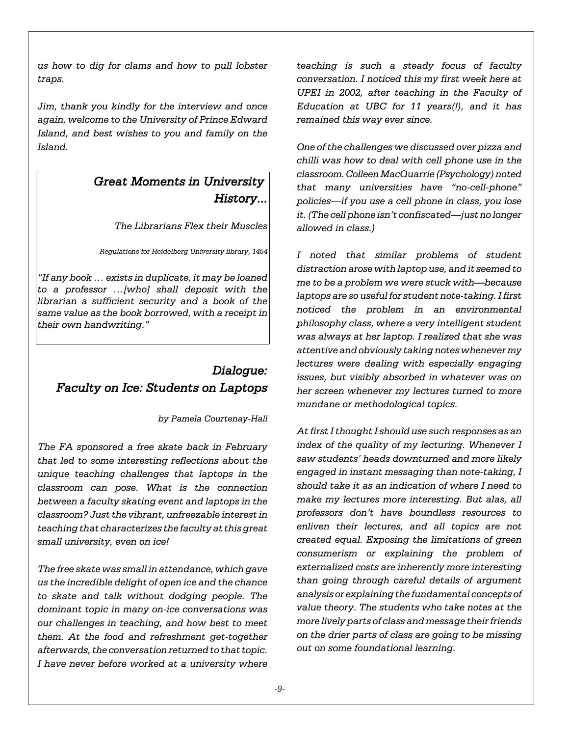*us how to dig for clams and how to pull lobster traps.*

*Jim, thank you kindly for the interview and once again, welcome to the University of Prince Edward Island, and best wishes to you and family on the Island.*

### *Great Moments in University History...*

*The Librarians Flex their Muscles*

*Regulations for Heidelberg University library, 1454*

*"If any book … exists in duplicate, it may be loaned to a professor …[who] shall deposit with the librarian a sufficient security and a book of the same value as the book borrowed, with a receipt in their own handwriting."*

# *Dialogue: Faculty on Ice: Students on Laptops*

*by Pamela Courtenay-Hall*

*The FA sponsored a free skate back in February that led to some interesting reflections about the unique teaching challenges that laptops in the classroom can pose. What is the connection between a faculty skating event and laptops in the classroom? Just the vibrant, unfreezable interest in teaching that characterizes the faculty at this great small university, even on ice!*

*The free skate was small in attendance, which gave us the incredible delight of open ice and the chance to skate and talk without dodging people. The dominant topic in many on-ice conversations was our challenges in teaching, and how best to meet them. At the food and refreshment get-together afterwards, the conversation returned to that topic. I have never before worked at a university where*

*teaching is such a steady focus of faculty conversation. I noticed this my first week here at UPEI in 2002, after teaching in the Faculty of Education at UBC for 11 years(!), and it has remained this way ever since.* 

*One of the challenges we discussed over pizza and chilli was how to deal with cell phone use in the classroom. Colleen MacQuarrie (Psychology) noted that many universities have "no-cell-phone" policies—if you use a cell phone in class, you lose it. (The cell phone isn't confiscated—just no longer allowed in class.)*

*I noted that similar problems of student distraction arose with laptop use, and it seemed to me to be a problem we were stuck with—because laptops are so useful for student note-taking. I first noticed the problem in an environmental philosophy class, where a very intelligent student was always at her laptop. I realized that she was attentive and obviously taking notes whenever my lectures were dealing with especially engaging issues, but visibly absorbed in whatever was on her screen whenever my lectures turned to more mundane or methodological topics.* 

*At first I thought I should use such responses as an index of the quality of my lecturing. Whenever I saw students' heads downturned and more likely engaged in instant messaging than note-taking, I should take it as an indication of where I need to make my lectures more interesting. But alas, all professors don't have boundless resources to enliven their lectures, and all topics are not created equal. Exposing the limitations of green consumerism or explaining the problem of externalized costs are inherently more interesting than going through careful details of argument analysis or explaining the fundamental concepts of value theory. The students who take notes at the more lively parts of class and message their friends on the drier parts of class are going to be missing out on some foundational learning.*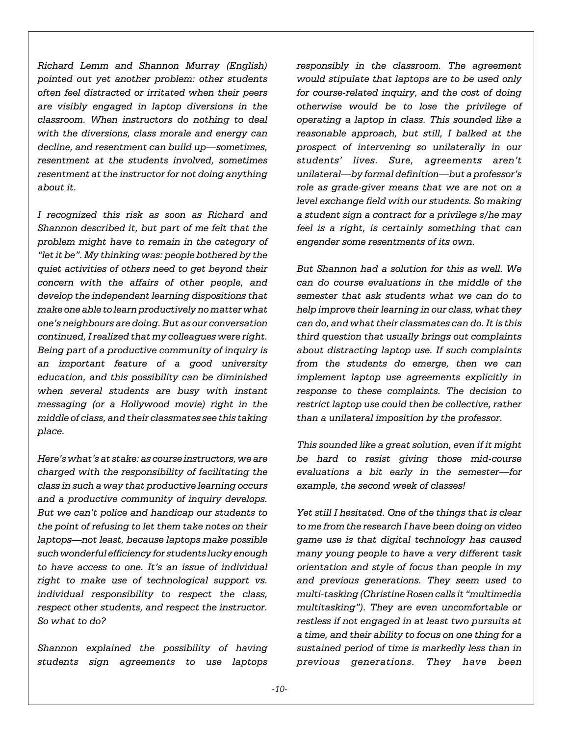*Richard Lemm and Shannon Murray (English) pointed out yet another problem: other students often feel distracted or irritated when their peers are visibly engaged in laptop diversions in the classroom. When instructors do nothing to deal with the diversions, class morale and energy can decline, and resentment can build up—sometimes, resentment at the students involved, sometimes resentment at the instructor for not doing anything about it.*

*I recognized this risk as soon as Richard and Shannon described it, but part of me felt that the problem might have to remain in the category of "let it be". My thinking was: people bothered by the quiet activities of others need to get beyond their concern with the affairs of other people, and develop the independent learning dispositions that make one able to learn productively no matter what one's neighbours are doing. But as our conversation continued, I realized that my colleagues were right. Being part of a productive community of inquiry is an important feature of a good university education, and this possibility can be diminished when several students are busy with instant messaging (or a Hollywood movie) right in the middle of class, and their classmates see this taking place.* 

*Here's what's at stake: as course instructors, we are charged with the responsibility of facilitating the class in such a way that productive learning occurs and a productive community of inquiry develops. But we can't police and handicap our students to the point of refusing to let them take notes on their laptops—not least, because laptops make possible such wonderful efficiency for students lucky enough to have access to one. It's an issue of individual right to make use of technological support vs. individual responsibility to respect the class, respect other students, and respect the instructor. So what to do?* 

*Shannon explained the possibility of having students sign agreements to use laptops* *responsibly in the classroom. The agreement would stipulate that laptops are to be used only for course-related inquiry, and the cost of doing otherwise would be to lose the privilege of operating a laptop in class. This sounded like a reasonable approach, but still, I balked at the prospect of intervening so unilaterally in our students' lives. Sure, agreements aren't unilateral—by formal definition—but a professor's role as grade-giver means that we are not on a level exchange field with our students. So making a student sign a contract for a privilege s/he may feel is a right, is certainly something that can engender some resentments of its own.* 

*But Shannon had a solution for this as well. We can do course evaluations in the middle of the semester that ask students what we can do to help improve their learning in our class, what they can do, and what their classmates can do. It is this third question that usually brings out complaints about distracting laptop use. If such complaints from the students do emerge, then we can implement laptop use agreements explicitly in response to these complaints. The decision to restrict laptop use could then be collective, rather than a unilateral imposition by the professor.*

*This sounded like a great solution, even if it might be hard to resist giving those mid-course evaluations a bit early in the semester—for example, the second week of classes!*

*Yet still I hesitated. One of the things that is clear to me from the research I have been doing on video game use is that digital technology has caused many young people to have a very different task orientation and style of focus than people in my and previous generations. They seem used to multi-tasking (Christine Rosen calls it "multimedia multitasking"). They are even uncomfortable or restless if not engaged in at least two pursuits at a time, and their ability to focus on one thing for a sustained period of time is markedly less than in previous generations. They have been*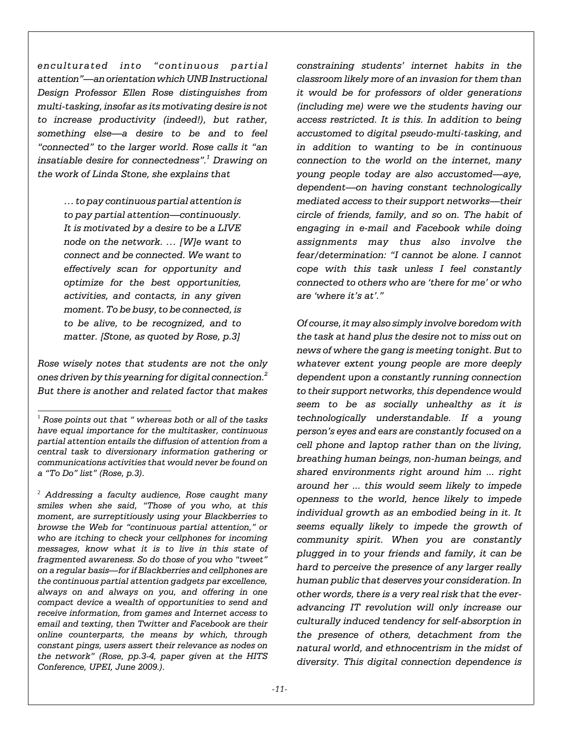*enculturated into "continuous partial attention"—an orientation which UNB Instructional Design Professor Ellen Rose distinguishes from multi-tasking, insofar as its motivating desire is not to increase productivity (indeed!), but rather, something else—a desire to be and to feel "connected" to the larger world. Rose calls it "an insatiable desire for connectedness".<sup>1</sup> Drawing on the work of Linda Stone, she explains that* 

> *… to pay continuous partial attention is to pay partial attention—continuously. It is motivated by a desire to be a LIVE node on the network. … [W]e want to connect and be connected. We want to effectively scan for opportunity and optimize for the best opportunities, activities, and contacts, in any given moment. To be busy, to be connected, is to be alive, to be recognized, and to matter. [Stone, as quoted by Rose, p.3]*

*Rose wisely notes that students are not the only ones driven by this yearning for digital connection.2 But there is another and related factor that makes*

*constraining students' internet habits in the classroom likely more of an invasion for them than it would be for professors of older generations (including me) were we the students having our access restricted. It is this. In addition to being accustomed to digital pseudo-multi-tasking, and in addition to wanting to be in continuous connection to the world on the internet, many young people today are also accustomed—aye, dependent—on having constant technologically mediated access to their support networks—their circle of friends, family, and so on. The habit of engaging in e-mail and Facebook while doing assignments may thus also involve the fear/determination: "I cannot be alone. I cannot cope with this task unless I feel constantly connected to others who are 'there for me' or who are 'where it's at'."* 

*Of course, it may also simply involve boredom with the task at hand plus the desire not to miss out on news of where the gang is meeting tonight. But to whatever extent young people are more deeply dependent upon a constantly running connection to their support networks, this dependence would seem to be as socially unhealthy as it is technologically understandable. If a young person's eyes and ears are constantly focused on a cell phone and laptop rather than on the living, breathing human beings, non-human beings, and shared environments right around him ... right around her ... this would seem likely to impede openness to the world, hence likely to impede individual growth as an embodied being in it. It seems equally likely to impede the growth of community spirit. When you are constantly plugged in to your friends and family, it can be hard to perceive the presence of any larger really human public that deserves your consideration. In other words, there is a very real risk that the everadvancing IT revolution will only increase our culturally induced tendency for self-absorption in the presence of others, detachment from the natural world, and ethnocentrism in the midst of diversity. This digital connection dependence is*

<sup>1</sup>  *Rose points out that " whereas both or all of the tasks have equal importance for the multitasker, continuous partial attention entails the diffusion of attention from a central task to diversionary information gathering or communications activities that would never be found on a "To Do" list" (Rose, p.3).*

<sup>2</sup>  *Addressing a faculty audience, Rose caught many smiles when she said, "Those of you who, at this moment, are surreptitiously using your Blackberries to browse the Web for "continuous partial attention," or who are itching to check your cellphones for incoming messages, know what it is to live in this state of fragmented awareness. So do those of you who "tweet" on a regular basis—for if Blackberries and cellphones are the continuous partial attention gadgets par excellence, always on and always on you, and offering in one compact device a wealth of opportunities to send and receive information, from games and Internet access to email and texting, then Twitter and Facebook are their online counterparts, the means by which, through constant pings, users assert their relevance as nodes on the network" (Rose, pp.3-4, paper given at the HITS Conference, UPEI, June 2009.).*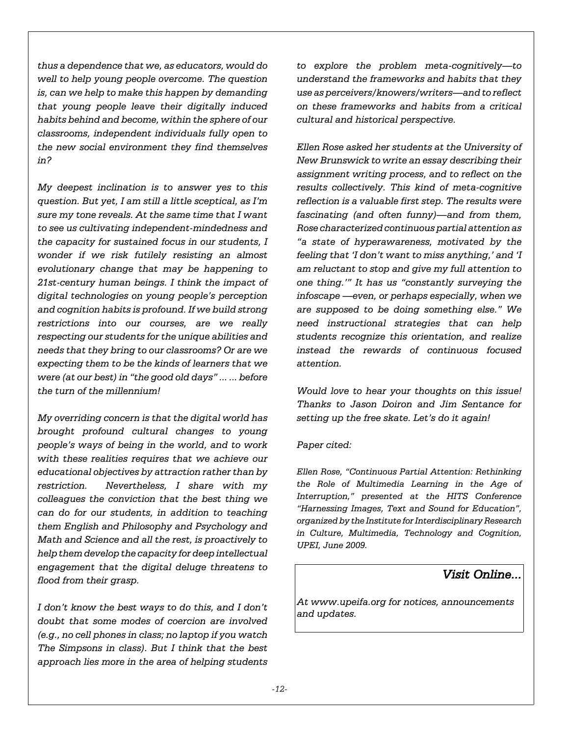*thus a dependence that we, as educators, would do well to help young people overcome. The question is, can we help to make this happen by demanding that young people leave their digitally induced habits behind and become, within the sphere of our classrooms, independent individuals fully open to the new social environment they find themselves in?* 

*My deepest inclination is to answer yes to this question. But yet, I am still a little sceptical, as I'm sure my tone reveals. At the same time that I want to see us cultivating independent-mindedness and the capacity for sustained focus in our students, I wonder if we risk futilely resisting an almost evolutionary change that may be happening to 21st-century human beings. I think the impact of digital technologies on young people's perception and cognition habits is profound. If we build strong restrictions into our courses, are we really respecting our students for the unique abilities and needs that they bring to our classrooms? Or are we expecting them to be the kinds of learners that we were (at our best) in "the good old days" ... ... before the turn of the millennium!* 

*My overriding concern is that the digital world has brought profound cultural changes to young people's ways of being in the world, and to work with these realities requires that we achieve our educational objectives by attraction rather than by restriction. Nevertheless, I share with my colleagues the conviction that the best thing we can do for our students, in addition to teaching them English and Philosophy and Psychology and Math and Science and all the rest, is proactively to help them develop the capacity for deep intellectual engagement that the digital deluge threatens to flood from their grasp.* 

*I don't know the best ways to do this, and I don't doubt that some modes of coercion are involved (e.g., no cell phones in class; no laptop if you watch The Simpsons in class). But I think that the best approach lies more in the area of helping students*

*to explore the problem meta-cognitively—to understand the frameworks and habits that they use as perceivers/knowers/writers—and to reflect on these frameworks and habits from a critical cultural and historical perspective.* 

*Ellen Rose asked her students at the University of New Brunswick to write an essay describing their assignment writing process, and to reflect on the results collectively. This kind of meta-cognitive reflection is a valuable first step. The results were fascinating (and often funny)—and from them, Rose characterized continuous partial attention as "a state of hyperawareness, motivated by the feeling that 'I don't want to miss anything,' and 'I am reluctant to stop and give my full attention to one thing.'" It has us "constantly surveying the infoscape —even, or perhaps especially, when we are supposed to be doing something else." We need instructional strategies that can help students recognize this orientation, and realize instead the rewards of continuous focused attention.* 

*Would love to hear your thoughts on this issue! Thanks to Jason Doiron and Jim Sentance for setting up the free skate. Let's do it again!*

#### *Paper cited:*

*Ellen Rose, "Continuous Partial Attention: Rethinking the Role of Multimedia Learning in the Age of Interruption," presented at the HITS Conference "Harnessing Images, Text and Sound for Education", organized by the Institute for Interdisciplinary Research in Culture, Multimedia, Technology and Cognition, UPEI, June 2009.*

### *Visit Online...*

*At www.upeifa.org for notices, announcements and updates.*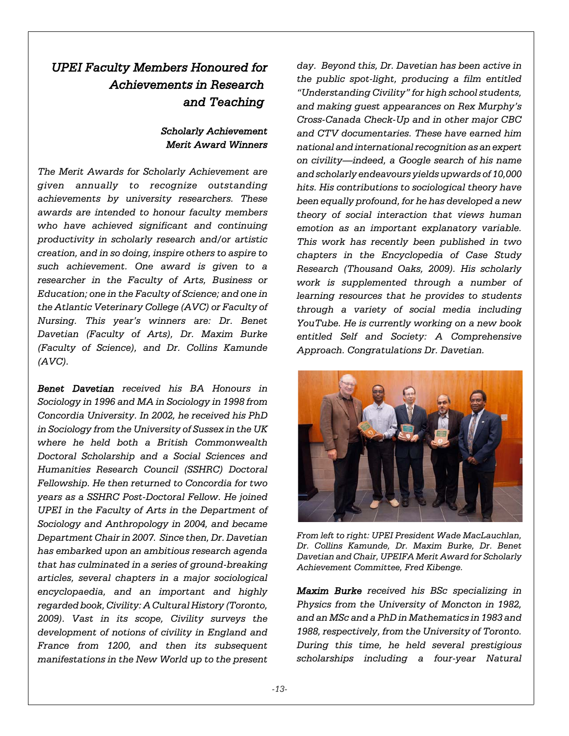# *UPEI Faculty Members Honoured for Achievements in Research and Teaching*

#### *Scholarly Achievement Merit Award Winners*

*The Merit Awards for Scholarly Achievement are given annually to recognize outstanding achievements by university researchers. These awards are intended to honour faculty members who have achieved significant and continuing productivity in scholarly research and/or artistic creation, and in so doing, inspire others to aspire to such achievement. One award is given to a researcher in the Faculty of Arts, Business or Education; one in the Faculty of Science; and one in the Atlantic Veterinary College (AVC) or Faculty of Nursing. This year's winners are: Dr. Benet Davetian (Faculty of Arts), Dr. Maxim Burke (Faculty of Science), and Dr. Collins Kamunde (AVC).* 

*Benet Davetian received his BA Honours in Sociology in 1996 and MA in Sociology in 1998 from Concordia University. In 2002, he received his PhD in Sociology from the University of Sussex in the UK where he held both a British Commonwealth Doctoral Scholarship and a Social Sciences and Humanities Research Council (SSHRC) Doctoral Fellowship. He then returned to Concordia for two years as a SSHRC Post-Doctoral Fellow. He joined UPEI in the Faculty of Arts in the Department of Sociology and Anthropology in 2004, and became Department Chair in 2007. Since then, Dr. Davetian has embarked upon an ambitious research agenda that has culminated in a series of ground-breaking articles, several chapters in a major sociological encyclopaedia, and an important and highly regarded book, Civility: A Cultural History (Toronto, 2009). Vast in its scope, Civility surveys the development of notions of civility in England and France from 1200, and then its subsequent manifestations in the New World up to the present*

*day. Beyond this, Dr. Davetian has been active in the public spot-light, producing a film entitled "Understanding Civility" for high school students, and making guest appearances on Rex Murphy's Cross-Canada Check-Up and in other major CBC and CTV documentaries. These have earned him national and international recognition as an expert on civility—indeed, a Google search of his name and scholarly endeavours yields upwards of 10,000 hits. His contributions to sociological theory have been equally profound, for he has developed a new theory of social interaction that views human emotion as an important explanatory variable. This work has recently been published in two chapters in the Encyclopedia of Case Study Research (Thousand Oaks, 2009). His scholarly work is supplemented through a number of learning resources that he provides to students through a variety of social media including YouTube. He is currently working on a new book entitled Self and Society: A Comprehensive Approach. Congratulations Dr. Davetian.*



*From left to right: UPEI President Wade MacLauchlan, Dr. Collins Kamunde, Dr. Maxim Burke, Dr. Benet Davetian and Chair, UPEIFA Merit Award for Scholarly Achievement Committee, Fred Kibenge.* 

*Maxim Burke received his BSc specializing in Physics from the University of Moncton in 1982, and an MSc and a PhD in Mathematics in 1983 and 1988, respectively, from the University of Toronto. During this time, he held several prestigious scholarships including a four-year Natural*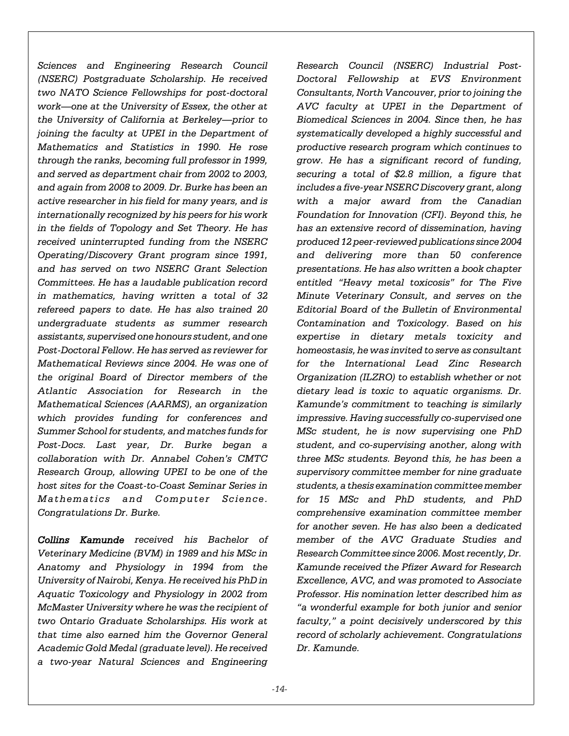*Sciences and Engineering Research Council (NSERC) Postgraduate Scholarship. He received two NATO Science Fellowships for post-doctoral work—one at the University of Essex, the other at the University of California at Berkeley—prior to joining the faculty at UPEI in the Department of Mathematics and Statistics in 1990. He rose through the ranks, becoming full professor in 1999, and served as department chair from 2002 to 2003, and again from 2008 to 2009. Dr. Burke has been an active researcher in his field for many years, and is internationally recognized by his peers for his work in the fields of Topology and Set Theory. He has received uninterrupted funding from the NSERC Operating/Discovery Grant program since 1991, and has served on two NSERC Grant Selection Committees. He has a laudable publication record in mathematics, having written a total of 32 refereed papers to date. He has also trained 20 undergraduate students as summer research assistants, supervised one honours student, and one Post-Doctoral Fellow. He has served as reviewer for Mathematical Reviews since 2004. He was one of the original Board of Director members of the Atlantic Association for Research in the Mathematical Sciences (AARMS), an organization which provides funding for conferences and Summer School for students, and matches funds for Post-Docs. Last year, Dr. Burke began a collaboration with Dr. Annabel Cohen's CMTC Research Group, allowing UPEI to be one of the host sites for the Coast-to-Coast Seminar Series in Mathematics and Computer Science. Congratulations Dr. Burke.* 

*Collins Kamunde received his Bachelor of Veterinary Medicine (BVM) in 1989 and his MSc in Anatomy and Physiology in 1994 from the University of Nairobi, Kenya. He received his PhD in Aquatic Toxicology and Physiology in 2002 from McMaster University where he was the recipient of two Ontario Graduate Scholarships. His work at that time also earned him the Governor General Academic Gold Medal (graduate level). He received a two-year Natural Sciences and Engineering*

*Research Council (NSERC) Industrial Post-Doctoral Fellowship at EVS Environment Consultants, North Vancouver, prior to joining the AVC faculty at UPEI in the Department of Biomedical Sciences in 2004. Since then, he has systematically developed a highly successful and productive research program which continues to grow. He has a significant record of funding, securing a total of \$2.8 million, a figure that includes a five-year NSERC Discovery grant, along with a major award from the Canadian Foundation for Innovation (CFI). Beyond this, he has an extensive record of dissemination, having produced 12 peer-reviewed publications since 2004 and delivering more than 50 conference presentations. He has also written a book chapter entitled "Heavy metal toxicosis" for The Five Minute Veterinary Consult, and serves on the Editorial Board of the Bulletin of Environmental Contamination and Toxicology. Based on his expertise in dietary metals toxicity and homeostasis, he was invited to serve as consultant for the International Lead Zinc Research Organization (ILZRO) to establish whether or not dietary lead is toxic to aquatic organisms. Dr. Kamunde's commitment to teaching is similarly impressive. Having successfully co-supervised one MSc student, he is now supervising one PhD student, and co-supervising another, along with three MSc students. Beyond this, he has been a supervisory committee member for nine graduate students, a thesis examination committee member for 15 MSc and PhD students, and PhD comprehensive examination committee member for another seven. He has also been a dedicated member of the AVC Graduate Studies and Research Committee since 2006. Most recently, Dr. Kamunde received the Pfizer Award for Research Excellence, AVC, and was promoted to Associate Professor. His nomination letter described him as "a wonderful example for both junior and senior faculty," a point decisively underscored by this record of scholarly achievement. Congratulations Dr. Kamunde.*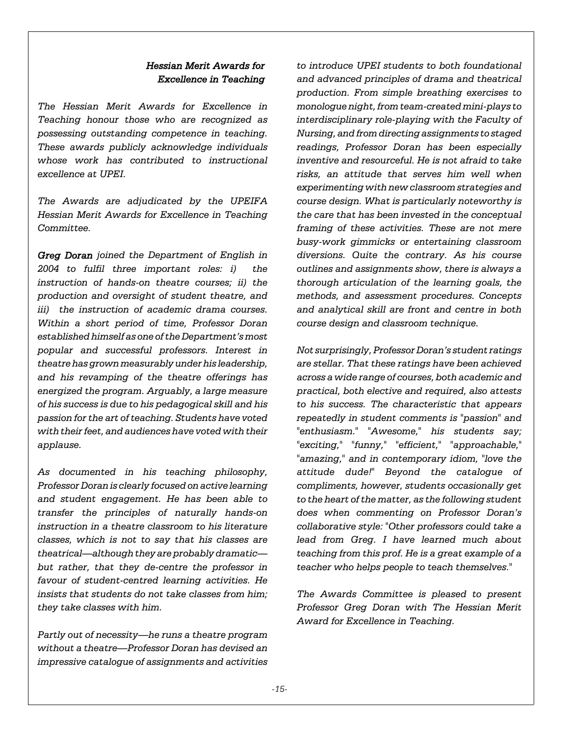#### *Hessian Merit Awards for Excellence in Teaching*

*The Hessian Merit Awards for Excellence in Teaching honour those who are recognized as possessing outstanding competence in teaching. These awards publicly acknowledge individuals whose work has contributed to instructional excellence at UPEI.* 

*The Awards are adjudicated by the UPEIFA Hessian Merit Awards for Excellence in Teaching Committee.*

*Greg Doran joined the Department of English in 2004 to fulfil three important roles: i) the instruction of hands-on theatre courses; ii) the production and oversight of student theatre, and iii) the instruction of academic drama courses. Within a short period of time, Professor Doran established himself as one of the Department's most popular and successful professors. Interest in theatre has grown measurably under his leadership, and his revamping of the theatre offerings has energized the program. Arguably, a large measure of his success is due to his pedagogical skill and his passion for the art of teaching. Students have voted with their feet, and audiences have voted with their applause.* 

*As documented in his teaching philosophy, Professor Doran is clearly focused on active learning and student engagement. He has been able to transfer the principles of naturally hands-on instruction in a theatre classroom to his literature classes, which is not to say that his classes are theatrical—although they are probably dramatic but rather, that they de-centre the professor in favour of student-centred learning activities. He insists that students do not take classes from him; they take classes with him.* 

*Partly out of necessity—he runs a theatre program without a theatre—Professor Doran has devised an impressive catalogue of assignments and activities*

*to introduce UPEI students to both foundational and advanced principles of drama and theatrical production. From simple breathing exercises to monologue night, from team-created mini-plays to interdisciplinary role-playing with the Faculty of Nursing, and from directing assignments to staged readings, Professor Doran has been especially inventive and resourceful. He is not afraid to take risks, an attitude that serves him well when experimenting with new classroom strategies and course design. What is particularly noteworthy is the care that has been invested in the conceptual framing of these activities. These are not mere busy-work gimmicks or entertaining classroom diversions. Quite the contrary. As his course outlines and assignments show, there is always a thorough articulation of the learning goals, the methods, and assessment procedures. Concepts and analytical skill are front and centre in both course design and classroom technique.* 

*Not surprisingly, Professor Doran's student ratings are stellar. That these ratings have been achieved across a wide range of courses, both academic and practical, both elective and required, also attests to his success. The characteristic that appears repeatedly in student comments is "passion" and "enthusiasm." "Awesome," his students say; "exciting," "funny," "efficient," "approachable," "amazing," and in contemporary idiom, "love the attitude dude!" Beyond the catalogue of compliments, however, students occasionally get to the heart of the matter, as the following student does when commenting on Professor Doran's collaborative style: "Other professors could take a lead from Greg. I have learned much about teaching from this prof. He is a great example of a teacher who helps people to teach themselves."* 

*The Awards Committee is pleased to present Professor Greg Doran with The Hessian Merit Award for Excellence in Teaching.*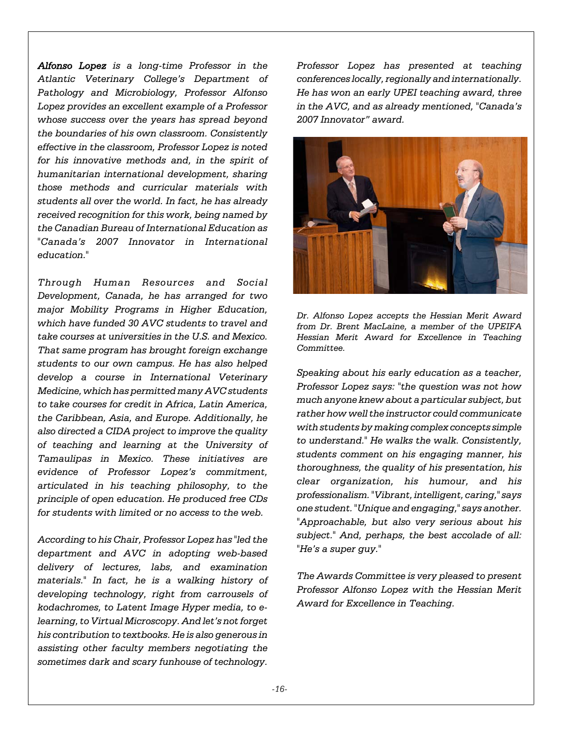*Alfonso Lopez is a long-time Professor in the Atlantic Veterinary College's Department of Pathology and Microbiology, Professor Alfonso Lopez provides an excellent example of a Professor whose success over the years has spread beyond the boundaries of his own classroom. Consistently effective in the classroom, Professor Lopez is noted for his innovative methods and, in the spirit of humanitarian international development, sharing those methods and curricular materials with students all over the world. In fact, he has already received recognition for this work, being named by the Canadian Bureau of International Education as "Canada's 2007 Innovator in International education."* 

*Through Human Resources and Social Development, Canada, he has arranged for two major Mobility Programs in Higher Education, which have funded 30 AVC students to travel and take courses at universities in the U.S. and Mexico. That same program has brought foreign exchange students to our own campus. He has also helped develop a course in International Veterinary Medicine, which has permitted many AVC students to take courses for credit in Africa, Latin America, the Caribbean, Asia, and Europe. Additionally, he also directed a CIDA project to improve the quality of teaching and learning at the University of Tamaulipas in Mexico. These initiatives are evidence of Professor Lopez's commitment, articulated in his teaching philosophy, to the principle of open education. He produced free CDs for students with limited or no access to the web.* 

*According to his Chair, Professor Lopez has "led the department and AVC in adopting web-based delivery of lectures, labs, and examination materials." In fact, he is a walking history of developing technology, right from carrousels of kodachromes, to Latent Image Hyper media, to elearning, to Virtual Microscopy. And let's not forget his contribution to textbooks. He is also generous in assisting other faculty members negotiating the sometimes dark and scary funhouse of technology.*

*Professor Lopez has presented at teaching conferences locally, regionally and internationally. He has won an early UPEI teaching award, three in the AVC, and as already mentioned, "Canada's 2007 Innovator" award.* 



*Dr. Alfonso Lopez accepts the Hessian Merit Award from Dr. Brent MacLaine, a member of the UPEIFA Hessian Merit Award for Excellence in Teaching Committee.* 

*Speaking about his early education as a teacher, Professor Lopez says: "the question was not how much anyone knew about a particular subject, but rather how well the instructor could communicate with students by making complex concepts simple to understand." He walks the walk. Consistently, students comment on his engaging manner, his thoroughness, the quality of his presentation, his clear organization, his humour, and his professionalism. "Vibrant, intelligent, caring," says one student. "Unique and engaging," says another. "Approachable, but also very serious about his subject." And, perhaps, the best accolade of all: "He's a super guy."* 

*The Awards Committee is very pleased to present Professor Alfonso Lopez with the Hessian Merit Award for Excellence in Teaching.*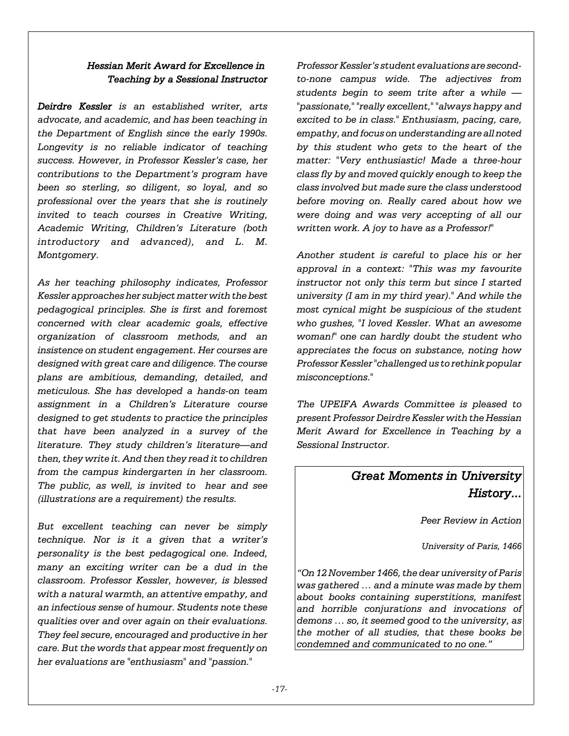#### *Hessian Merit Award for Excellence in Teaching by a Sessional Instructor*

*Deirdre Kessler is an established writer, arts advocate, and academic, and has been teaching in the Department of English since the early 1990s. Longevity is no reliable indicator of teaching success. However, in Professor Kessler's case, her contributions to the Department's program have been so sterling, so diligent, so loyal, and so professional over the years that she is routinely invited to teach courses in Creative Writing, Academic Writing, Children's Literature (both introductory and advanced), and L. M. Montgomery.* 

*As her teaching philosophy indicates, Professor Kessler approaches her subject matter with the best pedagogical principles. She is first and foremost concerned with clear academic goals, effective organization of classroom methods, and an insistence on student engagement. Her courses are designed with great care and diligence. The course plans are ambitious, demanding, detailed, and meticulous. She has developed a hands-on team assignment in a Children's Literature course designed to get students to practice the principles that have been analyzed in a survey of the literature. They study children's literature—and then, they write it. And then they read it to children from the campus kindergarten in her classroom. The public, as well, is invited to hear and see (illustrations are a requirement) the results.* 

*But excellent teaching can never be simply technique. Nor is it a given that a writer's personality is the best pedagogical one. Indeed, many an exciting writer can be a dud in the classroom. Professor Kessler, however, is blessed with a natural warmth, an attentive empathy, and an infectious sense of humour. Students note these qualities over and over again on their evaluations. They feel secure, encouraged and productive in her care. But the words that appear most frequently on her evaluations are "enthusiasm" and "passion."* 

*Professor Kessler's student evaluations are secondto-none campus wide. The adjectives from students begin to seem trite after a while — "passionate," "really excellent," "always happy and excited to be in class." Enthusiasm, pacing, care, empathy, and focus on understanding are all noted by this student who gets to the heart of the matter: "Very enthusiastic! Made a three-hour class fly by and moved quickly enough to keep the class involved but made sure the class understood before moving on. Really cared about how we were doing and was very accepting of all our written work. A joy to have as a Professor!"* 

*Another student is careful to place his or her approval in a context: "This was my favourite instructor not only this term but since I started university (I am in my third year)." And while the most cynical might be suspicious of the student who gushes, "I loved Kessler. What an awesome woman!" one can hardly doubt the student who appreciates the focus on substance, noting how Professor Kessler "challenged us to rethink popular misconceptions."* 

*The UPEIFA Awards Committee is pleased to present Professor Deirdre Kessler with the Hessian Merit Award for Excellence in Teaching by a Sessional Instructor.*

# *Great Moments in University History...*

*Peer Review in Action*

*University of Paris, 1466*

*"On 12 November 1466, the dear university of Paris was gathered … and a minute was made by them about books containing superstitions, manifest and horrible conjurations and invocations of demons … so, it seemed good to the university, as the mother of all studies, that these books be condemned and communicated to no one."*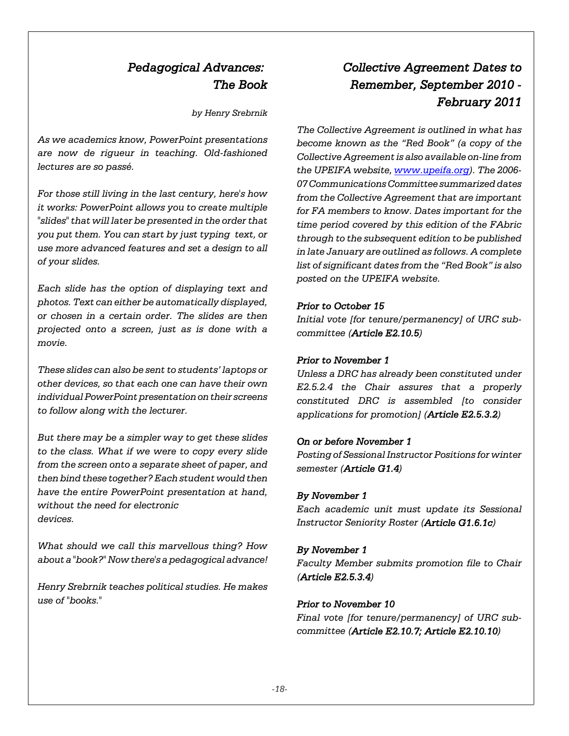# *Pedagogical Advances: The Book*

*by Henry Srebrnik*

*As we academics know, PowerPoint presentations are now de rigueur in teaching. Old-fashioned lectures are so passé.*

*For those still living in the last century, here's how it works: PowerPoint allows you to create multiple "slides" that will later be presented in the order that you put them. You can start by just typing text, or use more advanced features and set a design to all of your slides.*

*Each slide has the option of displaying text and photos. Text can either be automatically displayed, or chosen in a certain order. The slides are then projected onto a screen, just as is done with a movie.*

*These slides can also be sent to students' laptops or other devices, so that each one can have their own individual PowerPoint presentation on their screens to follow along with the lecturer.*

*But there may be a simpler way to get these slides to the class. What if we were to copy every slide from the screen onto a separate sheet of paper, and then bind these together? Each student would then have the entire PowerPoint presentation at hand, without the need for electronic devices.*

*What should we call this marvellous thing? How about a "book?" Now there's a pedagogical advance!*

*Henry Srebrnik teaches political studies. He makes use of "books."*

# *Collective Agreement Dates to Remember, September 2010 - February 2011*

*The Collective Agreement is outlined in what has become known as the "Red Book" (a copy of the Collective Agreement is also available on-line from the UPEIFA website, www.upeifa.org). The 2006- 07 Communications Committee summarized dates from the Collective Agreement that are important for FA members to know. Dates important for the time period covered by this edition of the FAbric through to the subsequent edition to be published in late January are outlined as follows. A complete list of significant dates from the "Red Book" is also posted on the UPEIFA website.*

#### *Prior to October 15*

*Initial vote [for tenure/permanency] of URC subcommittee (Article E2.10.5)*

#### *Prior to November 1*

*Unless a DRC has already been constituted under E2.5.2.4 the Chair assures that a properly constituted DRC is assembled [to consider applications for promotion] (Article E2.5.3.2)*

#### *On or before November 1*

*Posting of Sessional Instructor Positions for winter semester (Article G1.4)*

#### *By November 1*

*Each academic unit must update its Sessional Instructor Seniority Roster (Article G1.6.1c)*

#### *By November 1*

*Faculty Member submits promotion file to Chair (Article E2.5.3.4)*

#### *Prior to November 10*

*Final vote [for tenure/permanency] of URC subcommittee (Article E2.10.7; Article E2.10.10)*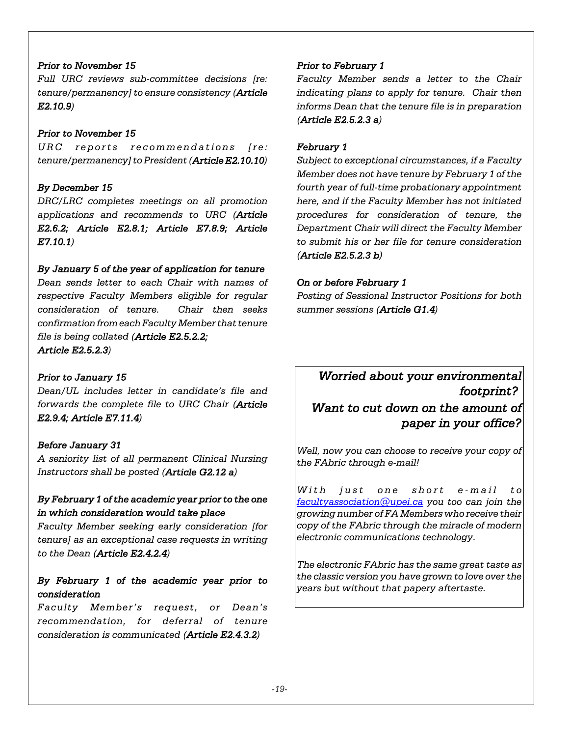#### *Prior to November 15*

*Full URC reviews sub-committee decisions [re: tenure/permanency] to ensure consistency (Article E2.10.9)*

#### *Prior to November 15*

*URC reports recommendations [re: tenure/permanency] to President (Article E2.10.10)*

#### *By December 15*

*DRC/LRC completes meetings on all promotion applications and recommends to URC (Article E2.6.2; Article E2.8.1; Article E7.8.9; Article E7.10.1)*

#### *By January 5 of the year of application for tenure*

*Dean sends letter to each Chair with names of respective Faculty Members eligible for regular consideration of tenure. Chair then seeks confirmation from each Faculty Member that tenure file is being collated (Article E2.5.2.2; Article E2.5.2.3)*

#### *Prior to January 15*

*Dean/UL includes letter in candidate's file and forwards the complete file to URC Chair (Article E2.9.4; Article E7.11.4)*

#### *Before January 31*

*A seniority list of all permanent Clinical Nursing Instructors shall be posted (Article G2.12 a)*

### *By February 1 of the academic year prior to the one in which consideration would take place*

*Faculty Member seeking early consideration [for tenure] as an exceptional case requests in writing to the Dean (Article E2.4.2.4)*

#### *By February 1 of the academic year prior to consideration*

*Faculty Member's request, or Dean's recommendation, for deferral of tenure consideration is communicated (Article E2.4.3.2)*

#### *Prior to February 1*

*Faculty Member sends a letter to the Chair indicating plans to apply for tenure. Chair then informs Dean that the tenure file is in preparation (Article E2.5.2.3 a)*

#### *February 1*

*Subject to exceptional circumstances, if a Faculty Member does not have tenure by February 1 of the fourth year of full-time probationary appointment here, and if the Faculty Member has not initiated procedures for consideration of tenure, the Department Chair will direct the Faculty Member to submit his or her file for tenure consideration (Article E2.5.2.3 b)*

#### *On or before February 1*

*Posting of Sessional Instructor Positions for both summer sessions (Article G1.4)*

### *Worried about your environmental footprint?*

## *Want to cut down on the amount of paper in your office?*

*Well, now you can choose to receive your copy of the FAbric through e-mail!*

*With just one short e-mail to facultyassociation@upei.ca you too can join the growing number of FA Members who receive their copy of the FAbric through the miracle of modern electronic communications technology.* 

*The electronic FAbric has the same great taste as the classic version you have grown to love over the years but without that papery aftertaste.*